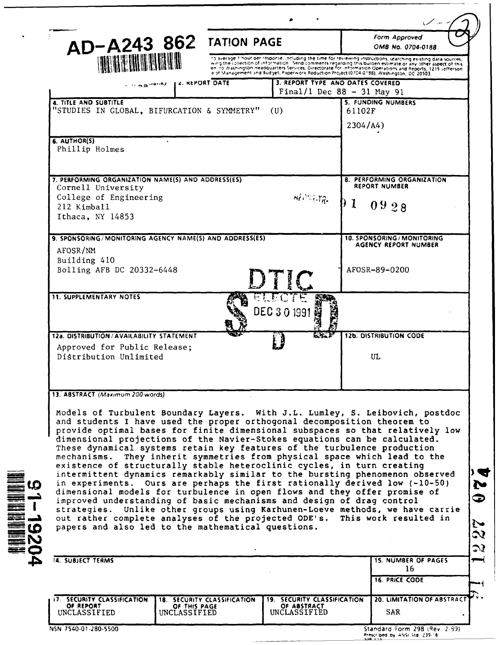|                                                                                                                                                                                                                                                                                                                                                                                                                                                                                                                                                                                                                                                                                                                                                                                                                                                                                                                                                                                                              |                              | AD-A243 862 TATION PAGE |                                                                                                                                                                                                                                                                                                                                                                                                                                              |                                                            | Form Approved<br>OMB No. 0704-0188                 |  |
|--------------------------------------------------------------------------------------------------------------------------------------------------------------------------------------------------------------------------------------------------------------------------------------------------------------------------------------------------------------------------------------------------------------------------------------------------------------------------------------------------------------------------------------------------------------------------------------------------------------------------------------------------------------------------------------------------------------------------------------------------------------------------------------------------------------------------------------------------------------------------------------------------------------------------------------------------------------------------------------------------------------|------------------------------|-------------------------|----------------------------------------------------------------------------------------------------------------------------------------------------------------------------------------------------------------------------------------------------------------------------------------------------------------------------------------------------------------------------------------------------------------------------------------------|------------------------------------------------------------|----------------------------------------------------|--|
| <b>THE REGION OF BUILDING</b>                                                                                                                                                                                                                                                                                                                                                                                                                                                                                                                                                                                                                                                                                                                                                                                                                                                                                                                                                                                |                              |                         | to average 1 hour per response, including the time for reviewing instructions, searching existing data sources,<br>wing the collection of information. Send comments regarding this burden estimate or any other aspect of this<br>en to Washington Headquarters Services, Directorate for information Operations and Reports, 1215 Jefferson.<br>eiof Management and Budget, Paperwork Reduction Project (0704-0188), Washington, DC 20503. |                                                            |                                                    |  |
|                                                                                                                                                                                                                                                                                                                                                                                                                                                                                                                                                                                                                                                                                                                                                                                                                                                                                                                                                                                                              | L4. REPORT DATE<br>i Haanana |                         | 3. REPORT TYPE AND DATES COVERED<br>Final/1 Dec $88 - 31$ May 91                                                                                                                                                                                                                                                                                                                                                                             |                                                            |                                                    |  |
| 4. TITLE AND SUBTITLE<br>"STUDIES IN GLOBAL, BIFURCATION & SYMMETRY"                                                                                                                                                                                                                                                                                                                                                                                                                                                                                                                                                                                                                                                                                                                                                                                                                                                                                                                                         |                              |                         | (U)                                                                                                                                                                                                                                                                                                                                                                                                                                          | 61102F<br>2304/A4)                                         | 5. FUNDING NUMBERS                                 |  |
| 6. AUTHOR(S)<br>Phillip Holmes                                                                                                                                                                                                                                                                                                                                                                                                                                                                                                                                                                                                                                                                                                                                                                                                                                                                                                                                                                               | $\bullet$                    |                         |                                                                                                                                                                                                                                                                                                                                                                                                                                              |                                                            |                                                    |  |
| 7. PERFORMING ORGANIZATION NAME(S) AND ADDRESS(ES)                                                                                                                                                                                                                                                                                                                                                                                                                                                                                                                                                                                                                                                                                                                                                                                                                                                                                                                                                           |                              |                         |                                                                                                                                                                                                                                                                                                                                                                                                                                              |                                                            | 8. PERFORMING ORGANIZATION<br><b>REPORT NUMBER</b> |  |
| Cornell University<br>College of Engineering<br>212 Kimball<br>Ithaca, NY 14853                                                                                                                                                                                                                                                                                                                                                                                                                                                                                                                                                                                                                                                                                                                                                                                                                                                                                                                              |                              |                         | $HF$ $N_{\rm H}$                                                                                                                                                                                                                                                                                                                                                                                                                             | 01                                                         | 0928                                               |  |
| 9. SPONSORING/MONITORING AGENCY NAME(S) AND ADDRESS(ES)<br>AFOSR/NM                                                                                                                                                                                                                                                                                                                                                                                                                                                                                                                                                                                                                                                                                                                                                                                                                                                                                                                                          |                              |                         |                                                                                                                                                                                                                                                                                                                                                                                                                                              | 10. SPONSORING / MONITORING<br><b>AGENCY REPORT NUMBER</b> |                                                    |  |
| Building 410<br>Bolling AFB DC 20332-6448                                                                                                                                                                                                                                                                                                                                                                                                                                                                                                                                                                                                                                                                                                                                                                                                                                                                                                                                                                    |                              |                         |                                                                                                                                                                                                                                                                                                                                                                                                                                              |                                                            | AFOSR-89-0200                                      |  |
| <b>11. SUPPLEMENTARY NOTES</b>                                                                                                                                                                                                                                                                                                                                                                                                                                                                                                                                                                                                                                                                                                                                                                                                                                                                                                                                                                               |                              |                         | DEC 3 0 1991                                                                                                                                                                                                                                                                                                                                                                                                                                 |                                                            |                                                    |  |
| 12a. DISTRIBUTION / AVAILABILITY STATEMENT<br>Approved for Public Release;                                                                                                                                                                                                                                                                                                                                                                                                                                                                                                                                                                                                                                                                                                                                                                                                                                                                                                                                   |                              |                         | $E \times E$                                                                                                                                                                                                                                                                                                                                                                                                                                 |                                                            | <b>12b. DISTRIBUTION CODE</b>                      |  |
| Distribution Unlimited                                                                                                                                                                                                                                                                                                                                                                                                                                                                                                                                                                                                                                                                                                                                                                                                                                                                                                                                                                                       |                              |                         |                                                                                                                                                                                                                                                                                                                                                                                                                                              |                                                            | UL                                                 |  |
|                                                                                                                                                                                                                                                                                                                                                                                                                                                                                                                                                                                                                                                                                                                                                                                                                                                                                                                                                                                                              |                              |                         |                                                                                                                                                                                                                                                                                                                                                                                                                                              |                                                            |                                                    |  |
| 13. ABSTRACT (Maximum 200 words)                                                                                                                                                                                                                                                                                                                                                                                                                                                                                                                                                                                                                                                                                                                                                                                                                                                                                                                                                                             |                              |                         |                                                                                                                                                                                                                                                                                                                                                                                                                                              |                                                            |                                                    |  |
| Models of Turbulent Boundary Layers. With J.L. Lumley, S. Leibovich, postdoc<br>and students I have used the proper orthogonal decomposition theorem to<br>provide optimal bases for finite dimensional subspaces so that relatively low<br>dimensional projections of the Navier-Stokes equations can be calculated.<br>These dynamical systems retain key features of the turbulence production<br>mechanisms.<br>existence of structurally stable heteroclinic cycles, in turn creating<br>intermittent dynamics remarkably similar to the bursting phenomenon observed<br>in experiments. Ours are perhaps the first rationally derived low (-10-50)<br>dimensional models for turbulence in open flows and they offer promise of<br>improved understanding of basic mechanisms and design of drag control<br>strategies. Unlike other groups using Karhunen-Loeve methods, we have carrie<br>out rather complete analyses of the projected ODE's.<br>papers and also led to the mathematical questions. |                              |                         | They inherit symmetries from physical space which lead to the                                                                                                                                                                                                                                                                                                                                                                                |                                                            | This work resulted in                              |  |
| 14. SUBJECT TERMS                                                                                                                                                                                                                                                                                                                                                                                                                                                                                                                                                                                                                                                                                                                                                                                                                                                                                                                                                                                            |                              |                         |                                                                                                                                                                                                                                                                                                                                                                                                                                              |                                                            | <b>15. NUMBER OF PAGES</b><br>16                   |  |
|                                                                                                                                                                                                                                                                                                                                                                                                                                                                                                                                                                                                                                                                                                                                                                                                                                                                                                                                                                                                              |                              |                         |                                                                                                                                                                                                                                                                                                                                                                                                                                              |                                                            | <b>16. PRICE CODE</b>                              |  |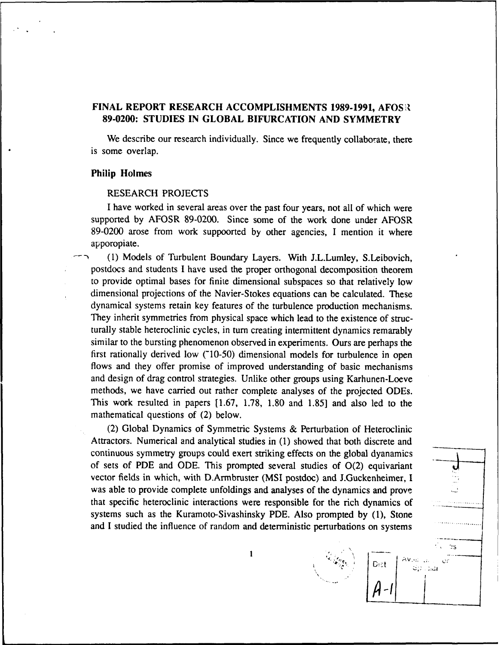# **FINAL REPORT RESEARCH ACCOMPLISHMENTS 1989-1991, AFOSR 89-0200: STUDIES IN GLOBAL BIFURCATION AND SYMMETRY**

We describe our research individually. Since we frequently collaborate, there is some overlap.

#### **Philip Holmes**

### RESEARCH **PROJECTS**

**I** have worked in several areas over the past four years, not all of which were supported **by** AFOSR **89-0200.** Since some of the work done under AFOSR **89-0200** arose from work suppoorted **by** other agencies, **I** mention it where apporopiate.

(1) Models of Turbulent Boundary Layers. With J.L.Lumley, S.Leibovich, postdocs and students **I** have used the proper orthogonal decomposition theorem to provide optimal bases for finite dimensional subspaces so that relatively low dimensional projections of the Navier-Stokes equations can be calculated. These dynamical systems retain key features of the turbulence production mechanisms. They inherit symmetries from physical space which lead to the existence of structurally stable heteroclinic cycles, in turn creating intermittent dynamics remarably similar to the bursting phenomenon observed in experiments. Ours are perhaps the first rationally derived low (~10-50) dimensional models for turbulence in open flows and they offer promise of improved understanding of basic mechanisms and design of drag control strategies. Unlike other groups using Karhunen-Loeve methods, we have carried out rather complete analyses of the projected ODEs. This work resulted in papers **[1.67, 1.78, 1.80** and **1.85]** and also led to the mathematical questions of (2) below.

(2) Global Dynamics of Symmetric Systems **&** Perturbation of Heteroclinic Attractors. Numerical and analytical studies in **(1)** showed that both discrete and continuous symmetry groups could exert striking effects on the global dyanamics of sets of PDE and ODE. This prompted several studies of 0(2) equivariant vector fields in which, with D.Armbruster (MSI postdoc) and J.Guckenheimer, I was able to provide complete unfoldings and analyses of the dynamics and prove that specific heteroclinic interactions were responsible for the rich dynamics of systems such as the Kuramoto-Sivashinsky PDE. Also prompted by (1), Stone and I studied the influence of random and deterministic perturbations on systems

 $\mathbf{1}$ 

**Branch** 

Dist

**1** 

 $80.5a$ 

J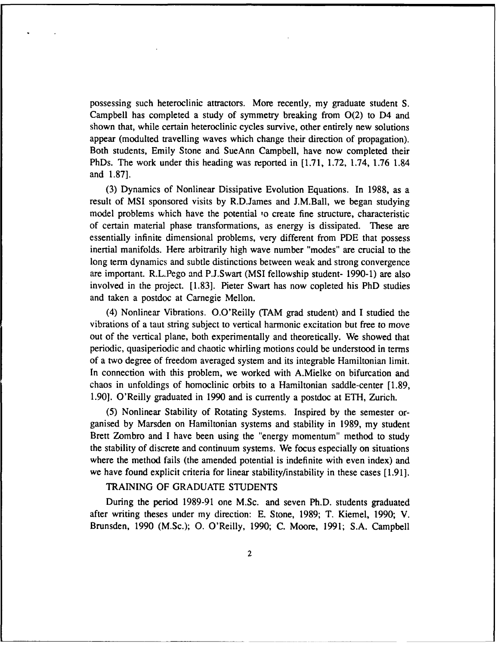possessing such heteroclinic attractors. More recently, my graduate student S. Campbell has completed a study of symmetry breaking from  $O(2)$  to D4 and shown that, while certain heteroclinic cycles survive, other entirely new solutions appear (modulted travelling waves which change their direction of propagation). Both students, Emily Stone and SueAnn Campbell, have now completed their PhDs. The work under this heading was reported in [1.71, 1.72, 1.74, 1.76 1.84 and 1.87].

(3) Dynamics of Nonlinear Dissipative Evolution Equations. In 1988, as a result of MSI sponsored visits by R.D.James and J.M.Ball, we began studying model problems which have the potential to create fine structure, characteristic of certain material phase transformations, as energy is dissipated. These are essentially infinite dimensional problems, very different from PDE that possess inertial manifolds. Here arbitrarily high wave number "modes" are crucial to the long term dynamics and subtle distinctions between weak and strong convergence are important. R.L.Pego and P.J.Swart (MSI fellowship student- 1990-1) are also involved in the project. [1.83]. Pieter Swart has now copleted his PhD studies and taken a postdoc at Carnegie Mellon.

(4) Nonlinear Vibrations. O.O'Reilly (TAM grad student) and I studied the vibrations of a taut string subject to vertical harmonic excitation but free to move out of the vertical plane, both experimentally and theoretically. We showed that periodic, quasiperiodic and chaotic whirling motions could be understood in terms of a two degree of freedom averaged system and its integrable Hamiltonian limit. In connection with this problem, we worked with A.Mielke on bifurcation and chaos in unfoldings of homoclinic orbits to a Hamiltonian saddle-center [1.89, 1.90]. O'Reilly graduated in 1990 and is currently a postdoc at ETH, Zurich.

(5) Nonlinear Stability of Rotating Systems. Inspired by the semester organised by Marsden on Hamiltonian systems and stability in 1989, my student Brett Zombro and I have been using the "energy momentum" method to study the stability of discrete and continuum systems. We focus especially on situations where the method fails (the amended potential is indefinite with even index) and we have found explicit criteria for linear stability/instability in these cases [1.91].

# TRAINING OF GRADUATE STUDENTS

During the period 1989-91 one M.Sc. and seven Ph.D. students graduated after writing theses under my direction: E. Stone, 1989; T. Kiemel, 1990; V. Brunsden, 1990 (M.Sc.); **0.** O'Reilly, 1990; C. Moore, 1991; S.A. Campbell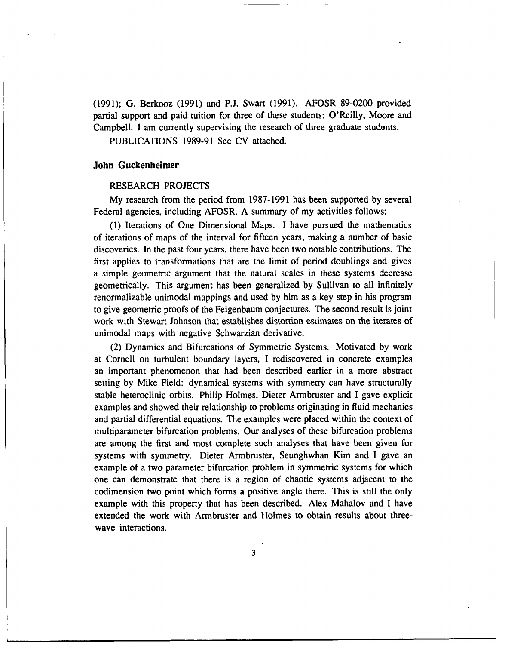(1991); G. Berkooz (1991) and **P.J.** Swart (1991). AFOSR 89-0200 provided partial support and paid tuition for three of these students: O'Reilly, Moore and Campbell. I am currently supervising the research of three graduate students.

PUBLICATIONS 1989-91 See CV attached.

#### John Guckenheimer

#### RESEARCH PROJECTS

My research from the period from 1987-1991 has been supported by several Federal agencies, including AFOSR. A summary of my activities follows:

(1) Iterations of One Dimensional Maps. I have pursued the mathematics of iterations of maps of the interval for fifteen years, making a number of basic discoveries. In the past four years, there have been two notable contributions. The first applies to transformations that are the limit of period doublings and gives a simple geometric argument that the natural scales in these systems decrease geometrically. This argument has been generalized by Sullivan to all infinitely renormalizable unimodal mappings and used by him as a key step in his program to give geometric proofs of the Feigenbaum conjectures. The second result is joint work with Stewart Johnson that establishes distortion estimates on the iterates of unimodal maps with negative Schwarzian derivative.

(2) Dynamics and Bifurcations of Symmetric Systems. Motivated by work at Cornell on turbulent boundary layers, I rediscovered in concrete examples an important phenomenon that had been described earlier in a more abstract setting by Mike Field: dynamical systems with symmetry can have structurally stable heteroclinic orbits. Philip Holmes, Dieter Armbruster and I gave explicit examples and showed their relationship to problems originating in fluid mechanics and partial differential equations. The examples were placed within the context of multiparameter bifurcation problems. Our analyses of these bifurcation problems are among the first and most complete such analyses that have been given for systems with symmetry. Dieter Armbruster, Seunghwhan Kim and I gave an example of a two parameter bifurcation problem in symmetric systems for which one can demonstrate that there is a region of chaotic systems adjacent to the codimension two point which forms a positive angle there. This is still the only example with this property that has been described. Alex Mahalov and I have extended the work with Armbruster and Holmes to obtain results about threewave interactions.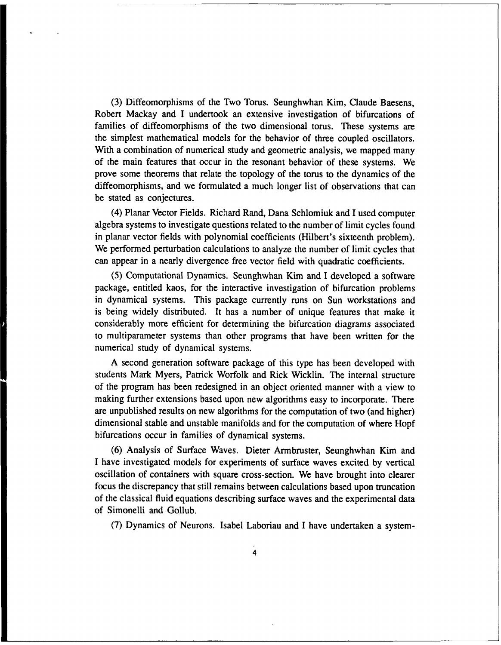(3) Diffeomorphisms of the Two Torus. Seunghwhan Kim, Claude Baesens, Robert Mackay and I undertook an extensive investigation of bifurcations of families of diffeomorphisms of the two dimensional torus. These systems are the simplest mathematical models for the behavior of three coupled oscillators. With a combination of numerical study and geometric analysis, we mapped many of the main features that occur in the resonant behavior of these systems. We prove some theorems that relate the topology of the torus to the dynamics of the diffeomorphisms, and we formulated a much longer list of observations that can be stated as conjectures.

(4) Planar Vector Fields. Richard Rand, Dana Schlomiuk and I used computer algebra systems to investigate questions related to the number of limit cycles found in planar vector fields with polynomial coefficients (Hilbert's sixteenth problem). We performed perturbation calculations to analyze the number of limit cycles that can appear in a nearly divergence free vector field with quadratic coefficients.

(5) Computational Dynamics. Seunghwhan Kim and I developed a software package, entitled kaos, for the interactive investigation of bifurcation problems in dynamical systems. This package currently runs on Sun workstations and is being widely distributed. It has a number of unique features that make it considerably more efficient for determining the bifurcation diagrams associated to multiparameter systems than other programs that have been written for the numerical study of dynamical systems.

A second generation software package of this type has been developed with students Mark Myers, Patrick Worfolk and Rick Wicklin. The internal structure of the program has been redesigned in an object oriented manner with a view to making further extensions based upon new algorithms easy to incorporate. There are unpublished results on new algorithms for the computation of two (and higher) dimensional stable and unstable manifolds and for the computation of where Hopf bifurcations occur in families of dynamical systems.

(6) Analysis of Surface Waves. Dieter Armbruster, Seunghwhan Kim and I have investigated models for experiments of surface waves excited by vertical oscillation of containers with square cross-section. We have brought into clearer focus the discrepancy that still remains between calculations based upon truncation of the classical fluid equations describing surface waves and the experimental data of Simonelli and Gollub.

(7) Dynamics of Neurons. Isabel Laboriau and I have undertaken a system-

4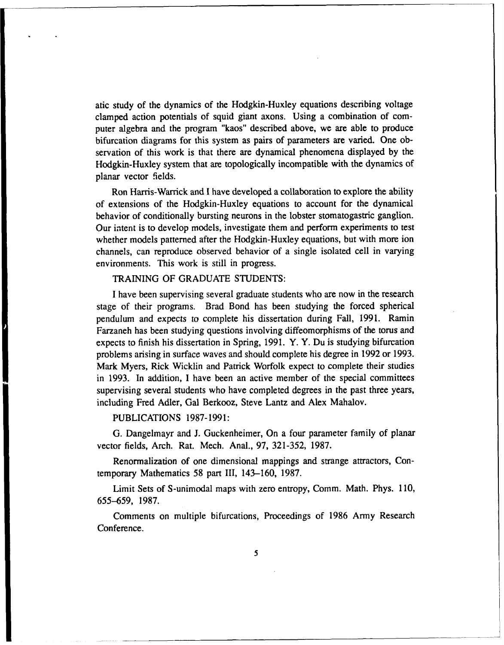atic study of the dynamics of the Hodgkin-Huxley equations describing voltage clamped action potentials of squid giant axons. Using a combination of computer algebra and the program "kaos" described above, we are able to produce bifurcation diagrams for this system as pairs of parameters are varied. One observation of this work is that there are dynamical phenomena displayed by the Hodgkin-Huxley system that are topologically incompatible with the dynamics of planar vector fields.

Ron Harris-Warrick and I have developed a collaboration to explore the ability of extensions of the Hodgkin-Huxley equations to account for the dynamical behavior of conditionally bursting neurons in the lobster stomatogastric ganglion. Our intent is to develop models, investigate them and perform experiments to test whether models patterned after the Hodgkin-Huxley equations, but with more ion channels, can reproduce observed behavior of a single isolated cell in varying environments. This work is still in progress.

# TRAINING OF GRADUATE STUDENTS:

I have been supervising several graduate students who are now in the research stage of their programs. Brad Bond has been studying the forced spherical pendulum and expects to complete his dissertation during Fall, 1991. Ramin Farzaneh has been studying questions involving diffeomorphisms of the torus and expects to finish his dissertation in Spring, 1991. Y. Y. Du is studying bifurcation problems arising in surface waves and should complete his degree in 1992 or 1993. Mark Myers, Rick Wicklin and Patrick Worfolk expect to complete their studies in 1993. In addition, I have been an active member of the special committees supervising several students who have completed degrees in the past three years, including Fred Adler, Gal Berkooz, Steve Lantz and Alex Mahalov.

# PUBLICATIONS 1987-1991:

G. Dangelmayr and J. Guckenheimer, On a four parameter family of planar vector fields, Arch. Rat. Mech. Anal., 97, 321-352, 1987.

Renormalization of one dimensional mappings and strange attractors, Contemporary Mathematics 58 part III, 143-160, 1987.

Limit Sets of S-unimodal maps with zero entropy, Comm. Math. Phys. 110, 655-659, 1987.

Comments on multiple bifurcations, Proceedings of 1986 Army Research Conference.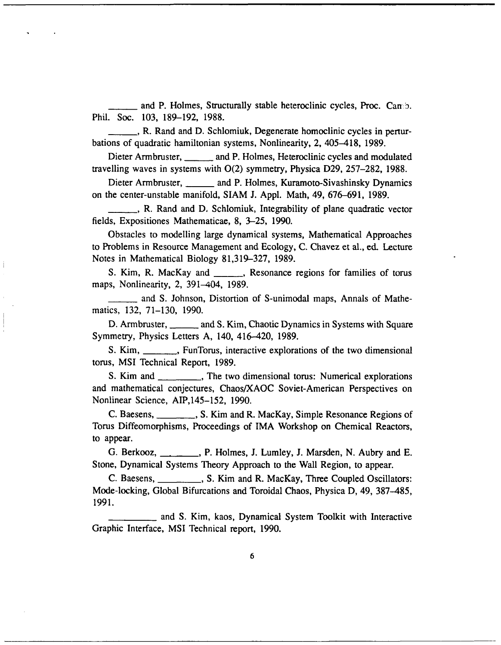and P. Holmes, Structurally stable heteroclinic cycles, Proc. Can b. Phil. Soc. 103, 189-192, 1988.

\_ **,** R. Rand and D. Schlomiuk, Degenerate homoclinic cycles in perturbations of quadratic hamiltonian systems, Nonlinearity, 2, 405-418, 1989.

Dieter Armbruster, \_\_\_\_\_ and P. Holmes, Heteroclinic cycles and modulated travelling waves in systems with 0(2) symmetry, Physica D29, 257-282, 1988.

Dieter Armbruster, **\_\_\_\_\_** and P. Holmes, Kuramoto-Sivashinsky Dynamics on the center-unstable manifold, SIAM J. Appl. Math, 49, 676-691, 1989.

\_ **,** R. Rand and *D,* Schlomiuk, Integrability of plane quadratic vector fields, Expositiones Mathematicae, 8, 3-25, 1990.

Obstacles to modelling large dynamical systems, Mathematical Approaches to Problems in Resource Management and Ecology, C. Chavez et al., ed. Lecture Notes in Mathematical Biology 81,319-327, 1989.

S. Kim, R. MacKay and \_\_\_, Resonance regions for families of torus maps, Nonlinearity, 2, 391-404, 1989.

\_ and S. Johnson, Distortion of S-unimodal maps, Annals of Mathematics, 132, 71-130, 1990.

D. Armbruster, \_\_\_\_\_\_ and S. Kim, Chaotic Dynamics in Systems with Square Symmetry, Physics Letters A, 140, 416-420, 1989.

S. Kim, \_\_\_\_\_, FunTorus, interactive explorations of the two dimensional torus, MSI Technical Report, 1989.

S. Kim and \_\_\_\_\_\_\_\_\_, The two dimensional torus: Numerical explorations and mathematical conjectures, Chaos/XAOC Soviet-American Perspectives on Nonlinear Science, AIP,145-152, 1990.

C. Baesens, **C. Baesens, 2006**, S. Kim and R. MacKay, Simple Resonance Regions of Torus Diffeomorphisms, Proceedings of IMA Workshop on Chemical Reactors, to appear.

G. Berkooz, **\_\_\_\_\_\_**, P. Holmes, J. Lumley, J. Marsden, N. Aubry and E. Stone, Dynamical Systems Theory Approach to the Wall Region, to appear.

C. Baesens, \_\_\_\_\_\_\_\_\_, S. Kim and R. MacKay, Three Coupled Oscillators: Mode-locking, Global Bifurcations and Toroidal Chaos, Physica D, 49, 387-485, 1991.

and S. Kim, kaos, Dynamical System Toolkit with Interactive Graphic Interface, MSI Technical report, 1990.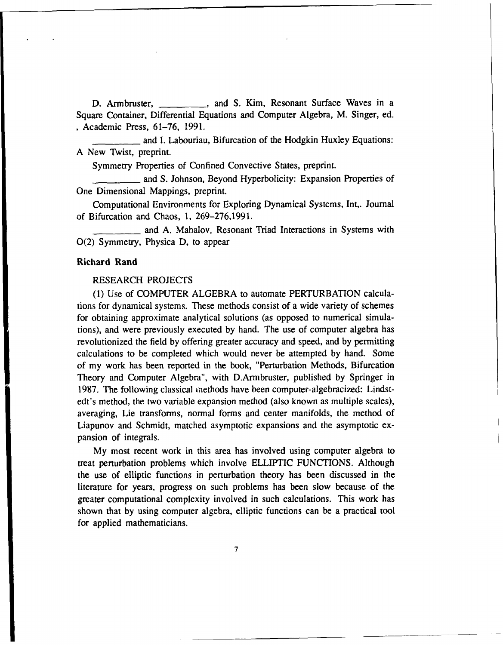D. Armbruster, \_\_\_\_\_\_\_\_, and S. Kim, Resonant Surface Waves in a Square Container, Differential Equations and Computer Algebra, M. Singer, ed. Academic Press, 61-76, 1991.

and I. Labouriau, Bifurcation of the Hodgkin Huxley Equations: A New Twist, preprint.

Symmetry Properties of Confined Convective States, preprint.

**.** and S. Johnson, Beyond Hyperbolicity: Expansion Properties of One Dimensional Mappings, preprint.

Computational Environments for Exploring Dynamical Systems, Int,. Journal of Bifurcation and Chaos, 1, 269-276,1991.

\_\_\_\_\_\_\_\_\_and A. Mahalov, Resonant Triad Interactions in Systems with 0(2) Symmetry, Physica D, to appear

### Richard **Rand**

### RESEARCH PROJECTS

(1) Use of COMPUTER ALGEBRA to automate PERTURBATION calculations for dynamical systems. These methods consist of a wide variety of schemes for obtaining approximate analytical solutions (as opposed to numerical simulations), and were previously executed by hand. The use of computer algebra has revolutionized the field by offering greater accuracy and speed, and by permitting calculations to be completed which would never be attempted by hand. Some of my work has been reported in the book, "Perturbation Methods, Bifurcation Theory and Computer Algebra", with D.Armbruster, published by Springer in 1987. The following classical methods have been computer-algebracized: Lindstedt's method, the two variable expansion method (also known as multiple scales), averaging, Lie transforms, normal forms and center manifolds, the method of Liapunov and Schmidt, matched asymptotic expansions and the asymptotic expansion of integrals.

My most recent work in this area has involved using computer algebra to treat perturbation problems which involve ELLIPTIC FUNCTIONS. Although the use of elliptic functions in perturbation theory has been discussed in the literature for years, progress on such problems has been slow because of the greater computational complexity involved in such calculations. This work has shown that by using computer algebra, elliptic functions can be a practical tool for applied mathematicians.

**7**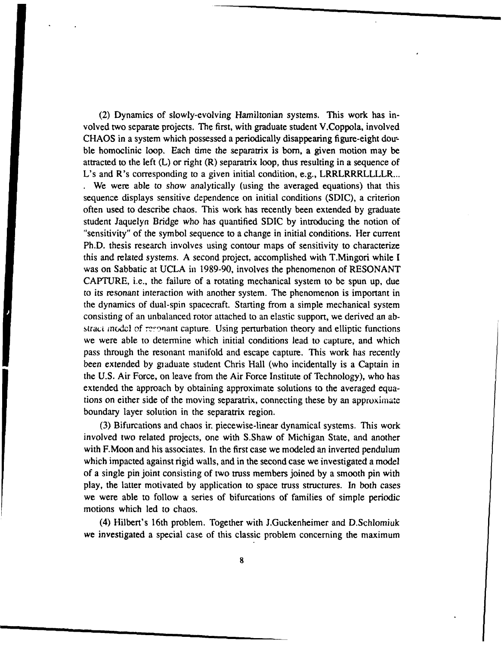(2) Dynamics of slowly-evolving Hamiltonian systems. This work has involved two separate projects. The first, with graduate student V.Coppola, involved CHAOS in a system which possessed a periodically disappearing figure-eight double homoclinic loop. Each time the separatrix is born, a given motion may be attracted to the left  $(L)$  or right  $(R)$  separatrix loop, thus resulting in a sequence of L's and R's corresponding to a given initial condition, e.g., LRRLRRRLLLLR... **.** We were able to show analytically (using the averaged equations) that this sequence displays sensitive dependence on initial conditions (SDIC), a criterion often used to describe chaos. This work has recently been extended by graduate student Jaquelyn Bridge who has quantified SDIC by introducing the notion of "sensitivity" of the symbol sequence to a change in initial conditions. Her current Ph.D. thesis research involves using contour maps of sensitivity to characterize this and related systems. A second project, accomplished with T.Mingori while I was on Sabbatic at UCLA in 1989-90, involves the phenomenon of RESONANT CAPTURE, i.e., the failure of a rotating mechanical system to be spun up, due to its resonant interaction with another system. The phenomenon is important in the dynamics of dual-spin spacecraft. Starting from a simple mechanical system consisting of an unbalanced rotor attached to an elastic support, we derived an abstract model of regonant capture. Using perturbation theory and elliptic functions we were able to determine which initial conditions lead to capture, and which pass through the resonant manifold and escape capture. This work has recently been extended by graduate student Chris Hall (who incidentally is a Captain in the U.S. Air Force, on leave from the Air Force Institute of Technology), who has extended the approach by obtaining approximate solutions to the averaged equations on either side of the moving separatrix, connecting these by an approximate boundary layer solution in the separatrix region.

(3) Bifurcations and chaos ir. piecewise-linear dynamical systems. This work involved two related projects, one with S.Shaw of Michigan State, and another with F.Moon and his associates. In the first case we modeled an inverted pendulum which impacted against rigid walls, and in the second case we investigated a model of a single pin joint consisting of two truss members joined by a smooth pin with play, the latter motivated by application to space truss structures. In both cases we were able to follow a series of bifurcations of families of simple periodic motions which led to chaos.

(4) Hilbert's 16th problem. Together with J.Guckenheimer and D.Schlomiuk we investigated a special case of this classic problem concerning the maximum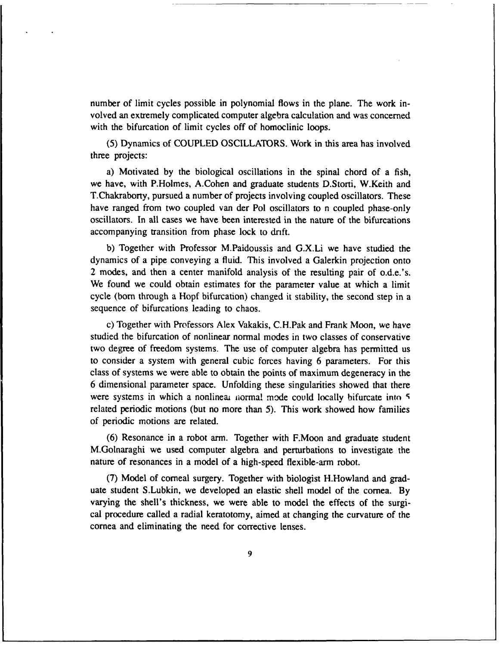number of limit cycles possible in polynomial flows in the plane. The work involved an extremely complicated computer algebra calculation and was concerned with the bifurcation of limit cycles off of homoclinic loops.

(5) Dynamics of COUPLED OSCILLATORS. Work in this area has involved three projects:

a) Motivated by the biological oscillations in the spinal chord of a fish, we have, with P.Holmes, A.Cohen and graduate students D.Storti, W.Keith and T.Chakraborty, pursued a number of projects involving coupled oscillators. These have ranged from two coupled van der Pol oscillators to n coupled phase-only oscillators. In all cases we have been interested in the nature of the bifurcations accompanying transition from phase lock to drift.

b) Together with Professor M.Paidoussis and G.X.Li we have studied the dynamics of a pipe conveying a fluid. This involved a Galerkin projection onto 2 modes, and then a center manifold analysis of the resulting pair of o.d.e.'s. We found we could obtain estimates for the parameter value at which a limit cycle (born through a Hopf bifurcation) changed it stability, the second step in a sequence of bifurcations leading to chaos.

c) Together with Professors Alex Vakakis, C.H.Pak and Frank Moon, we have studied the bifurcation of nonlinear normal modes in two classes of conservative two degree of freedom systems. The use of computer algebra has permitted us to consider a system with general cubic forces having 6 parameters. For this class of systems we were able to obtain the points of maximum degeneracy in the 6 dimensional parameter space. Unfolding these singularities showed that there were systems in which a nonlinear normal mode could locally bifurcate into 5 related periodic motions (but no more than 5). This work showed how families of periodic motions are related.

(6) Resonance in a robot arm. Together with F.Moon and graduate student M.Golnaraghi we used computer algebra and perturbations to investigate the nature of resonances in a model of a high-speed flexible-arm robot.

(7) Model of corneal surgery. Together with biologist H.Howland and graduate student S.Lubkin, we developed an elastic shell model of the cornea. By varying the shell's thickness, we were able to model the effects of the surgical procedure called a radial keratotomy, aimed at changing the curvature of the cornea and eliminating the need for corrective lenses.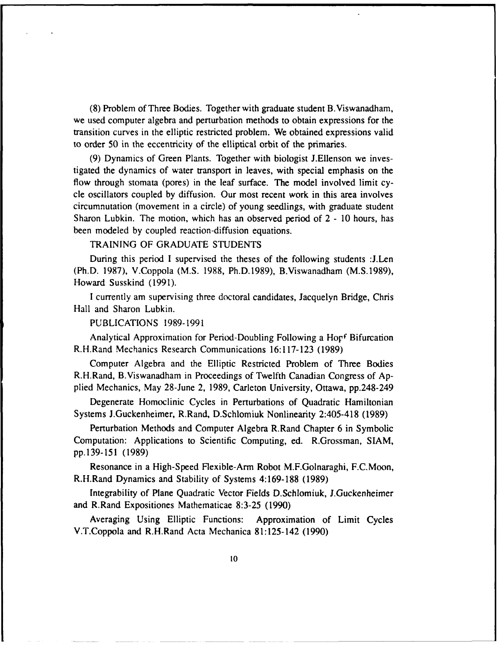(8) Problem of Three Bodies. Together with graduate student B.Viswanadham, we used computer algebra and perturbation methods to obtain expressions for the transition curves in the elliptic restricted problem. We obtained expressions valid to order 50 in the eccentricity of the elliptical orbit of the primaries.

(9) Dynamics of Green Plants. Together with biologist J.Ellenson we investigated the dynamics of water transport in leaves, with special emphasis on the flow through stomata (pores) in the leaf surface. The model involved limit cycle oscillators coupled by diffusion. Our most recent work in this area involves circumnutation (movement in a circle) of young seedlings, with graduate student Sharon Lubkin. The motion, which has an observed period of 2 - 10 hours, has been modeled by coupled reaction-diffusion equations.

# TRAINING OF GRADUATE STUDENTS

During this period I supervised the theses of the following students :J.Len (Ph.D. 1987), V.Coppola (M.S. 1988, Ph.D.1989), B.Viswanadham (M.S.1989), Howard Susskind (1991).

I currently am supervising three doctoral candidates, Jacquelyn Bridge, Chris Hall and Sharon Lubkin.

### PUBLICATIONS 1989-1991

Analytical Approximation for Period-Doubling Following a Hopf Bifurcation R.H.Rand Mechanics Research Communications 16:117-123 (1989)

Computer Algebra and the Elliptic Restricted Problem of Three Bodies R.H.Rand, B.Viswanadham in Proceedings of Twelfth Canadian Congress of Applied Mechanics, May 28-June 2, 1989, Carleton University, Ottawa, pp.248-249

Degenerate Homoclinic Cycles in Perturbations of Quadratic Hamiltonian Systems J.Guckenheimer, R.Rand, D.Schlomiuk Nonlinearity 2:405-418 (1989)

Perturbation Methods and Computer Algebra R.Rand Chapter 6 in Symbolic Computation: Applications to Scientific Computing, ed. R.Grossman, SIAM, pp.139-151 (1989)

Resonance in a High-Speed Flexible-Arm Robot M.F.Golnaraghi, F.C.Moon, R.H.Rand Dynamics and Stability of Systems 4:169-188 (1989)

Integrability of Plane Quadratic Vector Fields D.Schlomiuk, J.Guckenheimer and R.Rand Expositiones Mathematicae 8:3-25 (1990)

Averaging Using Elliptic Functions: Approximation of Limit Cycles V.T.Coppola and R.H.Rand Acta Mechanica 81:125-142 (1990)